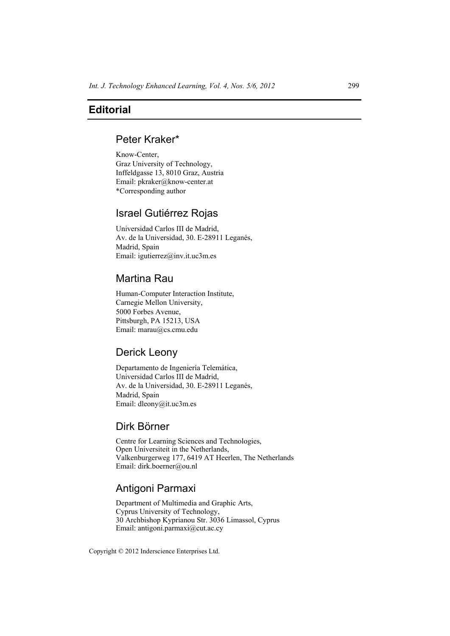## **Editorial**

## Peter Kraker\*

Know-Center, Graz University of Technology, Inffeldgasse 13, 8010 Graz, Austria Email: pkraker@know-center.at \*Corresponding author

# Israel Gutiérrez Rojas

Universidad Carlos III de Madrid, Av. de la Universidad, 30. E-28911 Leganés, Madrid, Spain Email: igutierrez@inv.it.uc3m.es

# Martina Rau

Human-Computer Interaction Institute, Carnegie Mellon University, 5000 Forbes Avenue, Pittsburgh, PA 15213, USA Email: marau@cs.cmu.edu

# Derick Leony

Departamento de Ingeniería Telemática, Universidad Carlos III de Madrid, Av. de la Universidad, 30. E-28911 Leganés, Madrid, Spain Email: dleony@it.uc3m.es

### Dirk Börner

Centre for Learning Sciences and Technologies, Open Universiteit in the Netherlands, Valkenburgerweg 177, 6419 AT Heerlen, The Netherlands Email: dirk.boerner@ou.nl

# Antigoni Parmaxi

Department of Multimedia and Graphic Arts, Cyprus University of Technology, 30 Archbishop Kyprianou Str. 3036 Limassol, Cyprus Email: antigoni.parmaxi@cut.ac.cy

Copyright © 2012 Inderscience Enterprises Ltd.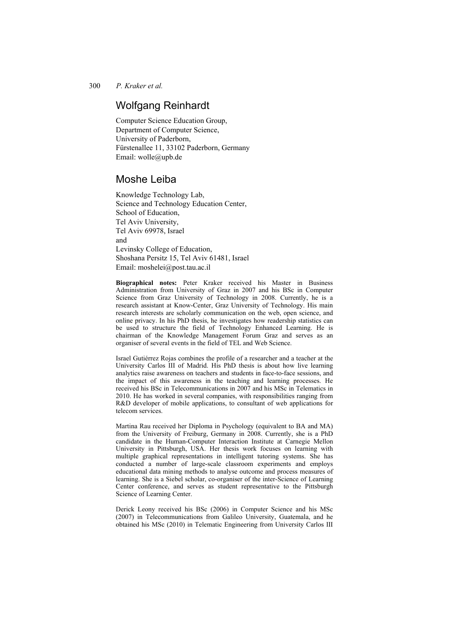300 *P. Kraker et al.* 

## Wolfgang Reinhardt

Computer Science Education Group, Department of Computer Science, University of Paderborn, Fürstenallee 11, 33102 Paderborn, Germany Email: wolle@upb.de

## Moshe Leiba

Knowledge Technology Lab, Science and Technology Education Center, School of Education, Tel Aviv University, Tel Aviv 69978, Israel and Levinsky College of Education, Shoshana Persitz 15, Tel Aviv 61481, Israel Email: moshelei@post.tau.ac.il

**Biographical notes:** Peter Kraker received his Master in Business Administration from University of Graz in 2007 and his BSc in Computer Science from Graz University of Technology in 2008. Currently, he is a research assistant at Know-Center, Graz University of Technology. His main research interests are scholarly communication on the web, open science, and online privacy. In his PhD thesis, he investigates how readership statistics can be used to structure the field of Technology Enhanced Learning. He is chairman of the Knowledge Management Forum Graz and serves as an organiser of several events in the field of TEL and Web Science.

Israel Gutiérrez Rojas combines the profile of a researcher and a teacher at the University Carlos III of Madrid. His PhD thesis is about how live learning analytics raise awareness on teachers and students in face-to-face sessions, and the impact of this awareness in the teaching and learning processes. He received his BSc in Telecommunications in 2007 and his MSc in Telematics in 2010. He has worked in several companies, with responsibilities ranging from R&D developer of mobile applications, to consultant of web applications for telecom services.

Martina Rau received her Diploma in Psychology (equivalent to BA and MA) from the University of Freiburg, Germany in 2008. Currently, she is a PhD candidate in the Human-Computer Interaction Institute at Carnegie Mellon University in Pittsburgh, USA. Her thesis work focuses on learning with multiple graphical representations in intelligent tutoring systems. She has conducted a number of large-scale classroom experiments and employs educational data mining methods to analyse outcome and process measures of learning. She is a Siebel scholar, co-organiser of the inter-Science of Learning Center conference, and serves as student representative to the Pittsburgh Science of Learning Center.

Derick Leony received his BSc (2006) in Computer Science and his MSc (2007) in Telecommunications from Galileo University, Guatemala, and he obtained his MSc (2010) in Telematic Engineering from University Carlos III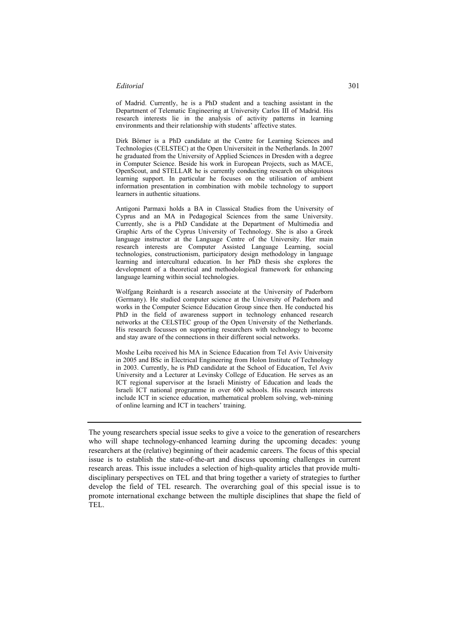### *Editorial* 301

of Madrid. Currently, he is a PhD student and a teaching assistant in the Department of Telematic Engineering at University Carlos III of Madrid. His research interests lie in the analysis of activity patterns in learning environments and their relationship with students' affective states.

Dirk Börner is a PhD candidate at the Centre for Learning Sciences and Technologies (CELSTEC) at the Open Universiteit in the Netherlands. In 2007 he graduated from the University of Applied Sciences in Dresden with a degree in Computer Science. Beside his work in European Projects, such as MACE, OpenScout, and STELLAR he is currently conducting research on ubiquitous learning support. In particular he focuses on the utilisation of ambient information presentation in combination with mobile technology to support learners in authentic situations.

Antigoni Parmaxi holds a BA in Classical Studies from the University of Cyprus and an MA in Pedagogical Sciences from the same University. Currently, she is a PhD Candidate at the Department of Multimedia and Graphic Arts of the Cyprus University of Technology. She is also a Greek language instructor at the Language Centre of the University. Her main research interests are Computer Assisted Language Learning, social technologies, constructionism, participatory design methodology in language learning and intercultural education. In her PhD thesis she explores the development of a theoretical and methodological framework for enhancing language learning within social technologies.

Wolfgang Reinhardt is a research associate at the University of Paderborn (Germany). He studied computer science at the University of Paderborn and works in the Computer Science Education Group since then. He conducted his PhD in the field of awareness support in technology enhanced research networks at the CELSTEC group of the Open University of the Netherlands. His research focusses on supporting researchers with technology to become and stay aware of the connections in their different social networks.

Moshe Leiba received his MA in Science Education from Tel Aviv University in 2005 and BSc in Electrical Engineering from Holon Institute of Technology in 2003. Currently, he is PhD candidate at the School of Education, Tel Aviv University and a Lecturer at Levinsky College of Education. He serves as an ICT regional supervisor at the Israeli Ministry of Education and leads the Israeli ICT national programme in over 600 schools. His research interests include ICT in science education, mathematical problem solving, web-mining of online learning and ICT in teachers' training.

The young researchers special issue seeks to give a voice to the generation of researchers who will shape technology-enhanced learning during the upcoming decades: young researchers at the (relative) beginning of their academic careers. The focus of this special issue is to establish the state-of-the-art and discuss upcoming challenges in current research areas. This issue includes a selection of high-quality articles that provide multidisciplinary perspectives on TEL and that bring together a variety of strategies to further develop the field of TEL research. The overarching goal of this special issue is to promote international exchange between the multiple disciplines that shape the field of TEL.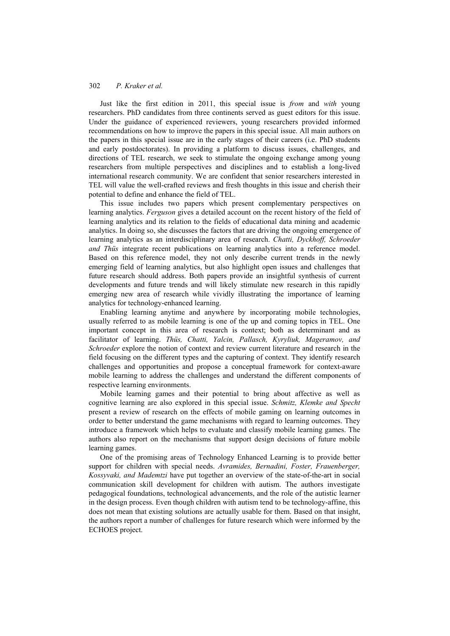### 302 *P. Kraker et al.*

Just like the first edition in 2011, this special issue is *from* and *with* young researchers. PhD candidates from three continents served as guest editors for this issue. Under the guidance of experienced reviewers, young researchers provided informed recommendations on how to improve the papers in this special issue. All main authors on the papers in this special issue are in the early stages of their careers (i.e. PhD students and early postdoctorates). In providing a platform to discuss issues, challenges, and directions of TEL research, we seek to stimulate the ongoing exchange among young researchers from multiple perspectives and disciplines and to establish a long-lived international research community. We are confident that senior researchers interested in TEL will value the well-crafted reviews and fresh thoughts in this issue and cherish their potential to define and enhance the field of TEL.

This issue includes two papers which present complementary perspectives on learning analytics. *Ferguson* gives a detailed account on the recent history of the field of learning analytics and its relation to the fields of educational data mining and academic analytics. In doing so, she discusses the factors that are driving the ongoing emergence of learning analytics as an interdisciplinary area of research. *Chatti, Dyckhoff, Schroeder and Thüs* integrate recent publications on learning analytics into a reference model. Based on this reference model, they not only describe current trends in the newly emerging field of learning analytics, but also highlight open issues and challenges that future research should address. Both papers provide an insightful synthesis of current developments and future trends and will likely stimulate new research in this rapidly emerging new area of research while vividly illustrating the importance of learning analytics for technology-enhanced learning.

Enabling learning anytime and anywhere by incorporating mobile technologies, usually referred to as mobile learning is one of the up and coming topics in TEL. One important concept in this area of research is context; both as determinant and as facilitator of learning. *Thüs, Chatti, Yalcin, Pallasch, Kyryliuk, Mageramov, and Schroeder* explore the notion of context and review current literature and research in the field focusing on the different types and the capturing of context. They identify research challenges and opportunities and propose a conceptual framework for context-aware mobile learning to address the challenges and understand the different components of respective learning environments.

Mobile learning games and their potential to bring about affective as well as cognitive learning are also explored in this special issue. *Schmitz, Klemke and Specht* present a review of research on the effects of mobile gaming on learning outcomes in order to better understand the game mechanisms with regard to learning outcomes. They introduce a framework which helps to evaluate and classify mobile learning games. The authors also report on the mechanisms that support design decisions of future mobile learning games.

One of the promising areas of Technology Enhanced Learning is to provide better support for children with special needs. *Avramides, Bernadini, Foster, Frauenberger, Kossyvaki, and Mademtzi* have put together an overview of the state-of-the-art in social communication skill development for children with autism. The authors investigate pedagogical foundations, technological advancements, and the role of the autistic learner in the design process. Even though children with autism tend to be technology-affine, this does not mean that existing solutions are actually usable for them. Based on that insight, the authors report a number of challenges for future research which were informed by the ECHOES project.